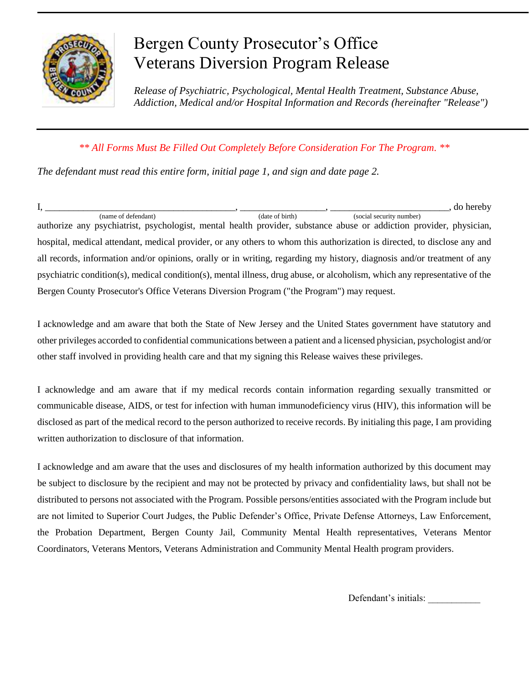

## Bergen County Prosecutor's Office Veterans Diversion Program Release

*Release of Psychiatric, Psychological, Mental Health Treatment, Substance Abuse, Addiction, Medical and/or Hospital Information and Records (hereinafter "Release")*

## *\*\* All Forms Must Be Filled Out Completely Before Consideration For The Program. \*\**

*The defendant must read this entire form, initial page 1, and sign and date page 2.*

I, \_\_\_\_\_\_\_\_\_\_\_\_\_\_\_\_\_\_\_\_\_\_\_\_\_\_\_\_\_\_\_\_\_\_\_\_\_\_\_\_, \_\_\_\_\_\_\_\_\_\_\_\_\_\_\_\_\_\_, \_\_\_\_\_\_\_\_\_\_\_\_\_\_\_\_\_\_\_\_\_\_\_\_\_, do hereby (name of defendant) (date of birth) (social security number) authorize any psychiatrist, psychologist, mental health provider, substance abuse or addiction provider, physician, hospital, medical attendant, medical provider, or any others to whom this authorization is directed, to disclose any and all records, information and/or opinions, orally or in writing, regarding my history, diagnosis and/or treatment of any psychiatric condition(s), medical condition(s), mental illness, drug abuse, or alcoholism, which any representative of the Bergen County Prosecutor's Office Veterans Diversion Program ("the Program") may request.

I acknowledge and am aware that both the State of New Jersey and the United States government have statutory and other privileges accorded to confidential communications between a patient and a licensed physician, psychologist and/or other staff involved in providing health care and that my signing this Release waives these privileges.

I acknowledge and am aware that if my medical records contain information regarding sexually transmitted or communicable disease, AIDS, or test for infection with human immunodeficiency virus (HIV), this information will be disclosed as part of the medical record to the person authorized to receive records. By initialing this page, I am providing written authorization to disclosure of that information.

I acknowledge and am aware that the uses and disclosures of my health information authorized by this document may be subject to disclosure by the recipient and may not be protected by privacy and confidentiality laws, but shall not be distributed to persons not associated with the Program. Possible persons/entities associated with the Program include but are not limited to Superior Court Judges, the Public Defender's Office, Private Defense Attorneys, Law Enforcement, the Probation Department, Bergen County Jail, Community Mental Health representatives, Veterans Mentor Coordinators, Veterans Mentors, Veterans Administration and Community Mental Health program providers.

Defendant's initials: